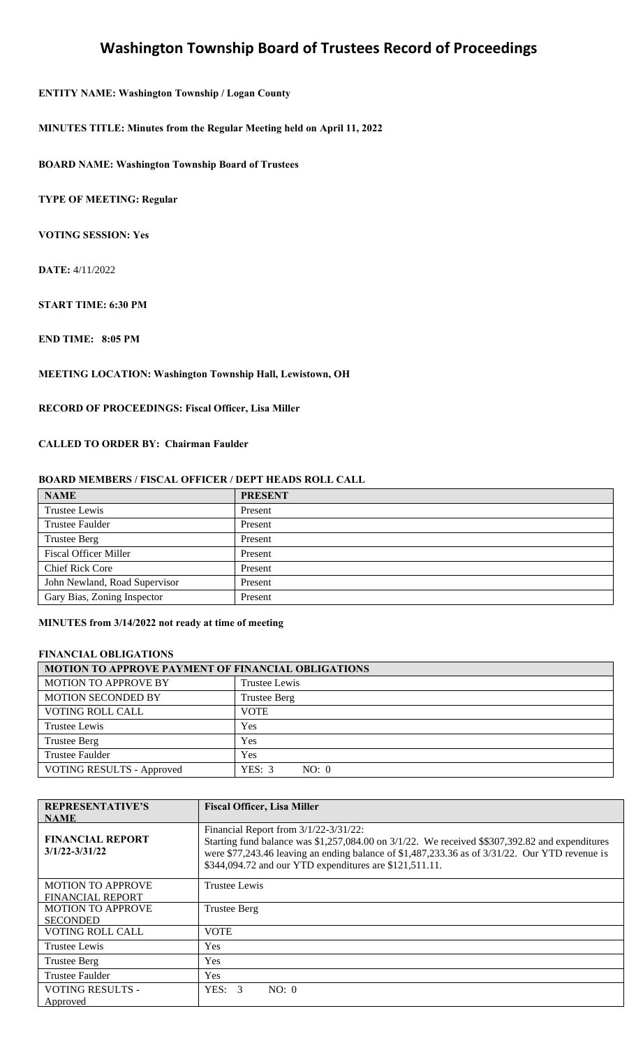### **ENTITY NAME: Washington Township / Logan County**

**MINUTES TITLE: Minutes from the Regular Meeting held on April 11, 2022**

**BOARD NAME: Washington Township Board of Trustees** 

**TYPE OF MEETING: Regular** 

**VOTING SESSION: Yes** 

**DATE:** 4/11/2022

**START TIME: 6:30 PM** 

**END TIME: 8:05 PM** 

**MEETING LOCATION: Washington Township Hall, Lewistown, OH** 

**RECORD OF PROCEEDINGS: Fiscal Officer, Lisa Miller** 

**CALLED TO ORDER BY: Chairman Faulder**

### **BOARD MEMBERS / FISCAL OFFICER / DEPT HEADS ROLL CALL**

| <b>NAME</b>                   | <b>PRESENT</b> |
|-------------------------------|----------------|
| Trustee Lewis                 | Present        |
| <b>Trustee Faulder</b>        | Present        |
| <b>Trustee Berg</b>           | Present        |
| <b>Fiscal Officer Miller</b>  | Present        |
| <b>Chief Rick Core</b>        | Present        |
| John Newland, Road Supervisor | Present        |
| Gary Bias, Zoning Inspector   | Present        |

### **MINUTES from 3/14/2022 not ready at time of meeting**

#### **FINANCIAL OBLIGATIONS**

| MOTION TO APPROVE PAYMENT OF FINANCIAL OBLIGATIONS |                     |  |
|----------------------------------------------------|---------------------|--|
| <b>MOTION TO APPROVE BY</b>                        | Trustee Lewis       |  |
| <b>MOTION SECONDED BY</b>                          | <b>Trustee Berg</b> |  |
| <b>VOTING ROLL CALL</b>                            | <b>VOTE</b>         |  |
| Trustee Lewis                                      | Yes                 |  |
| <b>Trustee Berg</b>                                | Yes                 |  |
| <b>Trustee Faulder</b>                             | Yes                 |  |
| <b>VOTING RESULTS - Approved</b>                   | YES: 3<br>NO: 0     |  |

| <b>REPRESENTATIVE'S</b>                             | <b>Fiscal Officer, Lisa Miller</b>                                                                                                                                                                                                                                                                       |
|-----------------------------------------------------|----------------------------------------------------------------------------------------------------------------------------------------------------------------------------------------------------------------------------------------------------------------------------------------------------------|
| <b>NAME</b>                                         |                                                                                                                                                                                                                                                                                                          |
| <b>FINANCIAL REPORT</b><br>$3/1/22 - 3/31/22$       | Financial Report from 3/1/22-3/31/22:<br>Starting fund balance was \$1,257,084.00 on 3/1/22. We received \$\$307,392.82 and expenditures<br>were \$77,243.46 leaving an ending balance of \$1,487,233.36 as of $3/31/22$ . Our YTD revenue is<br>\$344,094.72 and our YTD expenditures are \$121,511.11. |
| <b>MOTION TO APPROVE</b><br><b>FINANCIAL REPORT</b> | Trustee Lewis                                                                                                                                                                                                                                                                                            |
| <b>MOTION TO APPROVE</b><br><b>SECONDED</b>         | <b>Trustee Berg</b>                                                                                                                                                                                                                                                                                      |
| <b>VOTING ROLL CALL</b>                             | <b>VOTE</b>                                                                                                                                                                                                                                                                                              |
| <b>Trustee Lewis</b>                                | Yes                                                                                                                                                                                                                                                                                                      |
| <b>Trustee Berg</b>                                 | Yes                                                                                                                                                                                                                                                                                                      |
| Trustee Faulder                                     | <b>Yes</b>                                                                                                                                                                                                                                                                                               |
| <b>VOTING RESULTS -</b><br>Approved                 | YES: 3<br>NO: 0                                                                                                                                                                                                                                                                                          |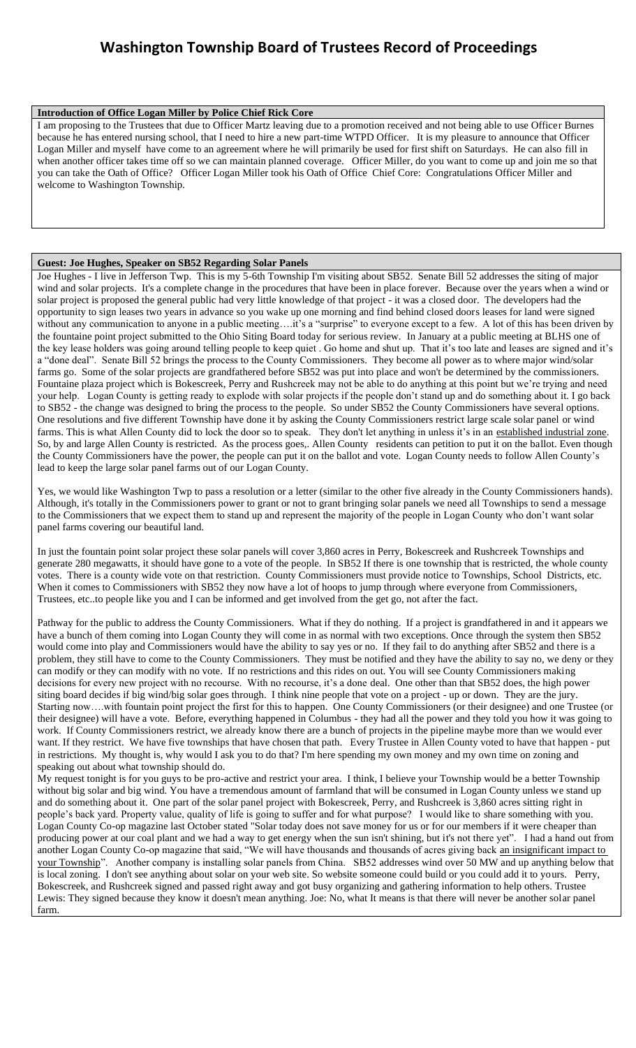#### **Introduction of Office Logan Miller by Police Chief Rick Core**

I am proposing to the Trustees that due to Officer Martz leaving due to a promotion received and not being able to use Officer Burnes because he has entered nursing school, that I need to hire a new part-time WTPD Officer. It is my pleasure to announce that Officer Logan Miller and myself have come to an agreement where he will primarily be used for first shift on Saturdays. He can also fill in when another officer takes time off so we can maintain planned coverage. Officer Miller, do you want to come up and join me so that you can take the Oath of Office? Officer Logan Miller took his Oath of Office Chief Core: Congratulations Officer Miller and welcome to Washington Township.

### **Guest: Joe Hughes, Speaker on SB52 Regarding Solar Panels**

Joe Hughes - I live in Jefferson Twp. This is my 5-6th Township I'm visiting about SB52. Senate Bill 52 addresses the siting of major wind and solar projects. It's a complete change in the procedures that have been in place forever. Because over the years when a wind or solar project is proposed the general public had very little knowledge of that project - it was a closed door. The developers had the opportunity to sign leases two years in advance so you wake up one morning and find behind closed doors leases for land were signed without any communication to anyone in a public meeting….it's a "surprise" to everyone except to a few. A lot of this has been driven by the fountaine point project submitted to the Ohio Siting Board today for serious review. In January at a public meeting at BLHS one of the key lease holders was going around telling people to keep quiet . Go home and shut up. That it's too late and leases are signed and it's a "done deal". Senate Bill 52 brings the process to the County Commissioners. They become all power as to where major wind/solar farms go. Some of the solar projects are grandfathered before SB52 was put into place and won't be determined by the commissioners. Fountaine plaza project which is Bokescreek, Perry and Rushcreek may not be able to do anything at this point but we're trying and need your help. Logan County is getting ready to explode with solar projects if the people don't stand up and do something about it. I go back to SB52 - the change was designed to bring the process to the people. So under SB52 the County Commissioners have several options. One resolutions and five different Township have done it by asking the County Commissioners restrict large scale solar panel or wind farms. This is what Allen County did to lock the door so to speak. They don't let anything in unless it's in an established industrial zone. So, by and large Allen County is restricted. As the process goes,. Allen County residents can petition to put it on the ballot. Even though the County Commissioners have the power, the people can put it on the ballot and vote. Logan County needs to follow Allen County's lead to keep the large solar panel farms out of our Logan County.

Yes, we would like Washington Twp to pass a resolution or a letter (similar to the other five already in the County Commissioners hands). Although, it's totally in the Commissioners power to grant or not to grant bringing solar panels we need all Townships to send a message to the Commissioners that we expect them to stand up and represent the majority of the people in Logan County who don't want solar panel farms covering our beautiful land.

In just the fountain point solar project these solar panels will cover 3,860 acres in Perry, Bokescreek and Rushcreek Townships and generate 280 megawatts, it should have gone to a vote of the people. In SB52 If there is one township that is restricted, the whole county votes. There is a county wide vote on that restriction. County Commissioners must provide notice to Townships, School Districts, etc. When it comes to Commissioners with SB52 they now have a lot of hoops to jump through where everyone from Commissioners, Trustees, etc..to people like you and I can be informed and get involved from the get go, not after the fact.

Pathway for the public to address the County Commissioners. What if they do nothing. If a project is grandfathered in and it appears we have a bunch of them coming into Logan County they will come in as normal with two exceptions. Once through the system then SB52 would come into play and Commissioners would have the ability to say yes or no. If they fail to do anything after SB52 and there is a problem, they still have to come to the County Commissioners. They must be notified and they have the ability to say no, we deny or they can modify or they can modify with no vote. If no restrictions and this rides on out. You will see County Commissioners making decisions for every new project with no recourse. With no recourse, it's a done deal. One other than that SB52 does, the high power siting board decides if big wind/big solar goes through. I think nine people that vote on a project - up or down. They are the jury. Starting now….with fountain point project the first for this to happen. One County Commissioners (or their designee) and one Trustee (or their designee) will have a vote. Before, everything happened in Columbus - they had all the power and they told you how it was going to work. If County Commissioners restrict, we already know there are a bunch of projects in the pipeline maybe more than we would ever want. If they restrict. We have five townships that have chosen that path. Every Trustee in Allen County voted to have that happen - put in restrictions. My thought is, why would I ask you to do that? I'm here spending my own money and my own time on zoning and speaking out about what township should do.

My request tonight is for you guys to be pro-active and restrict your area. I think, I believe your Township would be a better Township without big solar and big wind. You have a tremendous amount of farmland that will be consumed in Logan County unless we stand up and do something about it. One part of the solar panel project with Bokescreek, Perry, and Rushcreek is 3,860 acres sitting right in people's back yard. Property value, quality of life is going to suffer and for what purpose? I would like to share something with you. Logan County Co-op magazine last October stated "Solar today does not save money for us or for our members if it were cheaper than producing power at our coal plant and we had a way to get energy when the sun isn't shining, but it's not there yet". I had a hand out from another Logan County Co-op magazine that said, "We will have thousands and thousands of acres giving back an insignificant impact to your Township". Another company is installing solar panels from China. SB52 addresses wind over 50 MW and up anything below that is local zoning. I don't see anything about solar on your web site. So website someone could build or you could add it to yours. Perry, Bokescreek, and Rushcreek signed and passed right away and got busy organizing and gathering information to help others. Trustee Lewis: They signed because they know it doesn't mean anything. Joe: No, what It means is that there will never be another solar panel farm.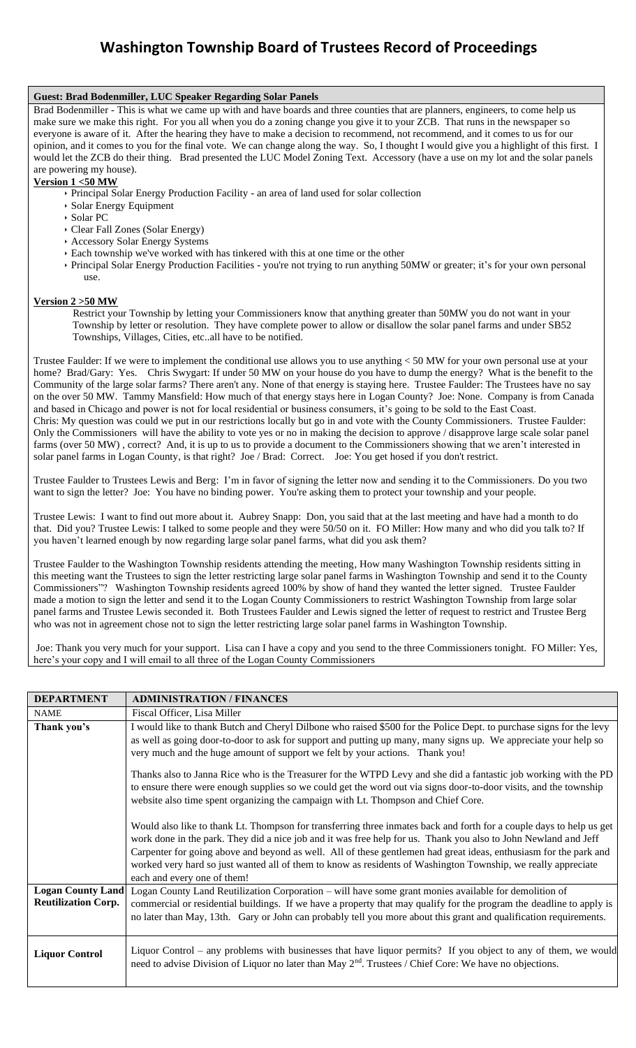### **Guest: Brad Bodenmiller, LUC Speaker Regarding Solar Panels**

Brad Bodenmiller - This is what we came up with and have boards and three counties that are planners, engineers, to come help us make sure we make this right. For you all when you do a zoning change you give it to your ZCB. That runs in the newspaper so everyone is aware of it. After the hearing they have to make a decision to recommend, not recommend, and it comes to us for our opinion, and it comes to you for the final vote. We can change along the way. So, I thought I would give you a highlight of this first. I would let the ZCB do their thing. Brad presented the LUC Model Zoning Text. Accessory (have a use on my lot and the solar panels are powering my house).

### **Version 1 <50 MW**

- Principal Solar Energy Production Facility an area of land used for solar collection
- Solar Energy Equipment
- Solar PC
- Clear Fall Zones (Solar Energy)
- Accessory Solar Energy Systems
- Each township we've worked with has tinkered with this at one time or the other
- Principal Solar Energy Production Facilities you're not trying to run anything 50MW or greater; it's for your own personal use.

#### **Version 2 >50 MW**

 Restrict your Township by letting your Commissioners know that anything greater than 50MW you do not want in your Township by letter or resolution. They have complete power to allow or disallow the solar panel farms and under SB52 Townships, Villages, Cities, etc..all have to be notified.

Trustee Faulder: If we were to implement the conditional use allows you to use anything < 50 MW for your own personal use at your home? Brad/Gary: Yes. Chris Swygart: If under 50 MW on your house do you have to dump the energy? What is the benefit to the Community of the large solar farms? There aren't any. None of that energy is staying here. Trustee Faulder: The Trustees have no say on the over 50 MW. Tammy Mansfield: How much of that energy stays here in Logan County? Joe: None. Company is from Canada and based in Chicago and power is not for local residential or business consumers, it's going to be sold to the East Coast. Chris: My question was could we put in our restrictions locally but go in and vote with the County Commissioners. Trustee Faulder: Only the Commissioners will have the ability to vote yes or no in making the decision to approve / disapprove large scale solar panel farms (over 50 MW) , correct? And, it is up to us to provide a document to the Commissioners showing that we aren't interested in solar panel farms in Logan County, is that right? Joe / Brad: Correct. Joe: You get hosed if you don't restrict.

Trustee Faulder to Trustees Lewis and Berg: I'm in favor of signing the letter now and sending it to the Commissioners. Do you two want to sign the letter? Joe: You have no binding power. You're asking them to protect your township and your people.

Trustee Lewis: I want to find out more about it. Aubrey Snapp: Don, you said that at the last meeting and have had a month to do that. Did you? Trustee Lewis: I talked to some people and they were 50/50 on it. FO Miller: How many and who did you talk to? If you haven't learned enough by now regarding large solar panel farms, what did you ask them?

Trustee Faulder to the Washington Township residents attending the meeting, How many Washington Township residents sitting in this meeting want the Trustees to sign the letter restricting large solar panel farms in Washington Township and send it to the County Commissioners"? Washington Township residents agreed 100% by show of hand they wanted the letter signed. Trustee Faulder made a motion to sign the letter and send it to the Logan County Commissioners to restrict Washington Township from large solar panel farms and Trustee Lewis seconded it. Both Trustees Faulder and Lewis signed the letter of request to restrict and Trustee Berg who was not in agreement chose not to sign the letter restricting large solar panel farms in Washington Township.

Joe: Thank you very much for your support. Lisa can I have a copy and you send to the three Commissioners tonight. FO Miller: Yes, here's your copy and I will email to all three of the Logan County Commissioners

| <b>DEPARTMENT</b>          | <b>ADMINISTRATION / FINANCES</b>                                                                                                                                                                                                                                                                                                                                                                                                                                                                                                                                                                                                                                                                                                                                                                                                                                                                                                                                                                                                                                                                                                                                     |
|----------------------------|----------------------------------------------------------------------------------------------------------------------------------------------------------------------------------------------------------------------------------------------------------------------------------------------------------------------------------------------------------------------------------------------------------------------------------------------------------------------------------------------------------------------------------------------------------------------------------------------------------------------------------------------------------------------------------------------------------------------------------------------------------------------------------------------------------------------------------------------------------------------------------------------------------------------------------------------------------------------------------------------------------------------------------------------------------------------------------------------------------------------------------------------------------------------|
| <b>NAME</b>                | Fiscal Officer, Lisa Miller                                                                                                                                                                                                                                                                                                                                                                                                                                                                                                                                                                                                                                                                                                                                                                                                                                                                                                                                                                                                                                                                                                                                          |
| Thank you's                | I would like to thank Butch and Cheryl Dilbone who raised \$500 for the Police Dept. to purchase signs for the levy<br>as well as going door-to-door to ask for support and putting up many, many signs up. We appreciate your help so<br>very much and the huge amount of support we felt by your actions. Thank you!<br>Thanks also to Janna Rice who is the Treasurer for the WTPD Levy and she did a fantastic job working with the PD<br>to ensure there were enough supplies so we could get the word out via signs door-to-door visits, and the township<br>website also time spent organizing the campaign with Lt. Thompson and Chief Core.<br>Would also like to thank Lt. Thompson for transferring three inmates back and forth for a couple days to help us get<br>work done in the park. They did a nice job and it was free help for us. Thank you also to John Newland and Jeff<br>Carpenter for going above and beyond as well. All of these gentlemen had great ideas, enthusiasm for the park and<br>worked very hard so just wanted all of them to know as residents of Washington Township, we really appreciate<br>each and every one of them! |
| <b>Logan County Land</b>   | Logan County Land Reutilization Corporation - will have some grant monies available for demolition of                                                                                                                                                                                                                                                                                                                                                                                                                                                                                                                                                                                                                                                                                                                                                                                                                                                                                                                                                                                                                                                                |
| <b>Reutilization Corp.</b> | commercial or residential buildings. If we have a property that may qualify for the program the deadline to apply is<br>no later than May, 13th. Gary or John can probably tell you more about this grant and qualification requirements.                                                                                                                                                                                                                                                                                                                                                                                                                                                                                                                                                                                                                                                                                                                                                                                                                                                                                                                            |
| <b>Liquor Control</b>      | Liquor Control – any problems with businesses that have liquor permits? If you object to any of them, we would<br>need to advise Division of Liquor no later than May 2 <sup>nd</sup> . Trustees / Chief Core: We have no objections.                                                                                                                                                                                                                                                                                                                                                                                                                                                                                                                                                                                                                                                                                                                                                                                                                                                                                                                                |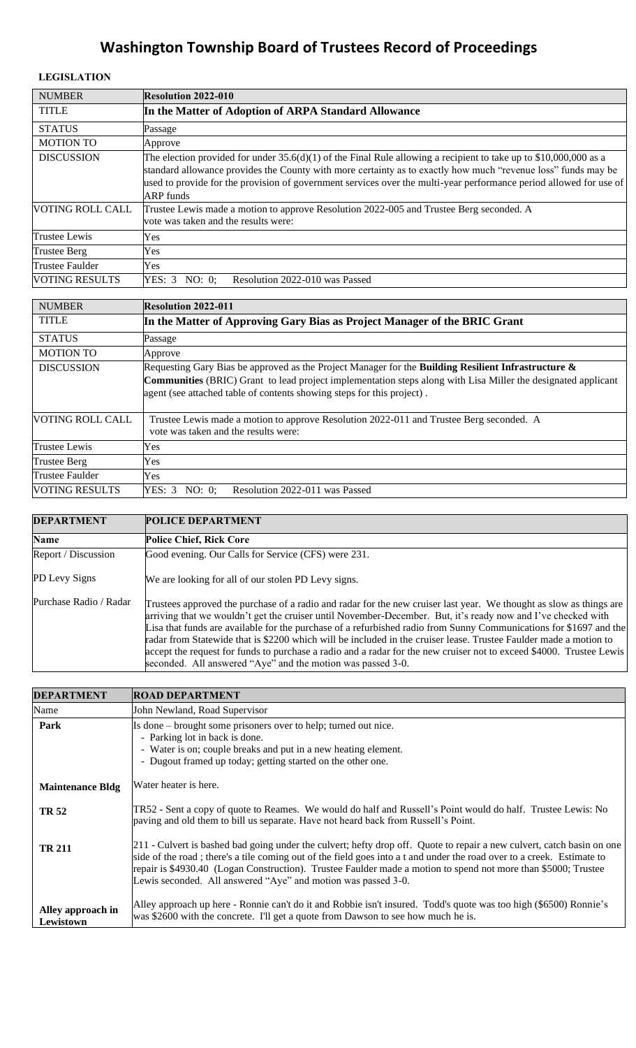### **LEGISLATION**

| <b>NUMBER</b>           | <b>Resolution 2022-010</b>                                                                                                                                                                                                                                                                                                                                                     |
|-------------------------|--------------------------------------------------------------------------------------------------------------------------------------------------------------------------------------------------------------------------------------------------------------------------------------------------------------------------------------------------------------------------------|
| <b>TITLE</b>            | In the Matter of Adoption of ARPA Standard Allowance                                                                                                                                                                                                                                                                                                                           |
| <b>STATUS</b>           | Passage                                                                                                                                                                                                                                                                                                                                                                        |
| <b>MOTION TO</b>        | Approve                                                                                                                                                                                                                                                                                                                                                                        |
| <b>DISCUSSION</b>       | The election provided for under $35.6(d)(1)$ of the Final Rule allowing a recipient to take up to \$10,000,000 as a<br>standard allowance provides the County with more certainty as to exactly how much "revenue loss" funds may be<br>used to provide for the provision of government services over the multi-year performance period allowed for use of<br><b>ARP</b> funds |
| <b>VOTING ROLL CALL</b> | Trustee Lewis made a motion to approve Resolution 2022-005 and Trustee Berg seconded. A<br>vote was taken and the results were:                                                                                                                                                                                                                                                |
| <b>Trustee Lewis</b>    | Yes                                                                                                                                                                                                                                                                                                                                                                            |
| Trustee Berg            | Yes                                                                                                                                                                                                                                                                                                                                                                            |
| Trustee Faulder         | Yes                                                                                                                                                                                                                                                                                                                                                                            |
| <b>VOTING RESULTS</b>   | Resolution 2022-010 was Passed<br>YES: 3<br>NO: 0:                                                                                                                                                                                                                                                                                                                             |

| <b>NUMBER</b>           | <b>Resolution 2022-011</b>                                                                                                                                                                                                                                                                                       |
|-------------------------|------------------------------------------------------------------------------------------------------------------------------------------------------------------------------------------------------------------------------------------------------------------------------------------------------------------|
| <b>TITLE</b>            | In the Matter of Approving Gary Bias as Project Manager of the BRIC Grant                                                                                                                                                                                                                                        |
| <b>STATUS</b>           | Passage                                                                                                                                                                                                                                                                                                          |
| <b>MOTION TO</b>        | Approve                                                                                                                                                                                                                                                                                                          |
| <b>DISCUSSION</b>       | Requesting Gary Bias be approved as the Project Manager for the <b>Building Resilient Infrastructure &amp;</b><br><b>Communities</b> (BRIC) Grant to lead project implementation steps along with Lisa Miller the designated applicant<br>agent (see attached table of contents showing steps for this project). |
| <b>VOTING ROLL CALL</b> | Trustee Lewis made a motion to approve Resolution 2022-011 and Trustee Berg seconded. A<br>vote was taken and the results were:                                                                                                                                                                                  |
| <b>Trustee Lewis</b>    | Yes                                                                                                                                                                                                                                                                                                              |
| <b>Trustee Berg</b>     | Yes                                                                                                                                                                                                                                                                                                              |
| Trustee Faulder         | Yes                                                                                                                                                                                                                                                                                                              |
| <b>VOTING RESULTS</b>   | YES: 3 NO: 0:<br>Resolution 2022-011 was Passed                                                                                                                                                                                                                                                                  |

| <b>DEPARTMENT</b>      | <b>POLICE DEPARTMENT</b>                                                                                                                                                                                                                                                                                                                                                                                                                                                                                                                                                                                                                                              |
|------------------------|-----------------------------------------------------------------------------------------------------------------------------------------------------------------------------------------------------------------------------------------------------------------------------------------------------------------------------------------------------------------------------------------------------------------------------------------------------------------------------------------------------------------------------------------------------------------------------------------------------------------------------------------------------------------------|
| <b>Name</b>            | <b>Police Chief, Rick Core</b>                                                                                                                                                                                                                                                                                                                                                                                                                                                                                                                                                                                                                                        |
| Report / Discussion    | Good evening. Our Calls for Service (CFS) were 231.                                                                                                                                                                                                                                                                                                                                                                                                                                                                                                                                                                                                                   |
| PD Levy Signs          | We are looking for all of our stolen PD Levy signs.                                                                                                                                                                                                                                                                                                                                                                                                                                                                                                                                                                                                                   |
| Purchase Radio / Radar | Trustees approved the purchase of a radio and radar for the new cruiser last year. We thought as slow as things are<br>arriving that we wouldn't get the cruiser until November-December. But, it's ready now and I've checked with<br>Lisa that funds are available for the purchase of a refurbished radio from Sunny Communications for \$1697 and the<br>radar from Statewide that is \$2200 which will be included in the cruiser lease. Trustee Faulder made a motion to<br>accept the request for funds to purchase a radio and a radar for the new cruiser not to exceed \$4000. Trustee Lewis<br>seconded. All answered "Aye" and the motion was passed 3-0. |

| <b>DEPARTMENT</b>              | <b>ROAD DEPARTMENT</b>                                                                                                                                                                                                                                                                                                                                                                                                              |
|--------------------------------|-------------------------------------------------------------------------------------------------------------------------------------------------------------------------------------------------------------------------------------------------------------------------------------------------------------------------------------------------------------------------------------------------------------------------------------|
| Name                           | John Newland, Road Supervisor                                                                                                                                                                                                                                                                                                                                                                                                       |
| Park                           | Is done – brought some prisoners over to help; turned out nice.<br>- Parking lot in back is done.<br>- Water is on; couple breaks and put in a new heating element.<br>- Dugout framed up today; getting started on the other one.                                                                                                                                                                                                  |
| <b>Maintenance Bldg</b>        | Water heater is here.                                                                                                                                                                                                                                                                                                                                                                                                               |
| <b>TR 52</b>                   | TR52 - Sent a copy of quote to Reames. We would do half and Russell's Point would do half. Trustee Lewis: No<br>paving and old them to bill us separate. Have not heard back from Russell's Point.                                                                                                                                                                                                                                  |
| <b>TR 211</b>                  | 211 - Culvert is bashed bad going under the culvert; hefty drop off. Quote to repair a new culvert, catch basin on one<br>side of the road; there's a tile coming out of the field goes into a t and under the road over to a creek. Estimate to<br>repair is \$4930.40 (Logan Construction). Trustee Faulder made a motion to spend not more than \$5000; Trustee<br>Lewis seconded. All answered "Aye" and motion was passed 3-0. |
| Alley approach in<br>Lewistown | Alley approach up here - Ronnie can't do it and Robbie isn't insured. Todd's quote was too high (\$6500) Ronnie's<br>was \$2600 with the concrete. I'll get a quote from Dawson to see how much he is.                                                                                                                                                                                                                              |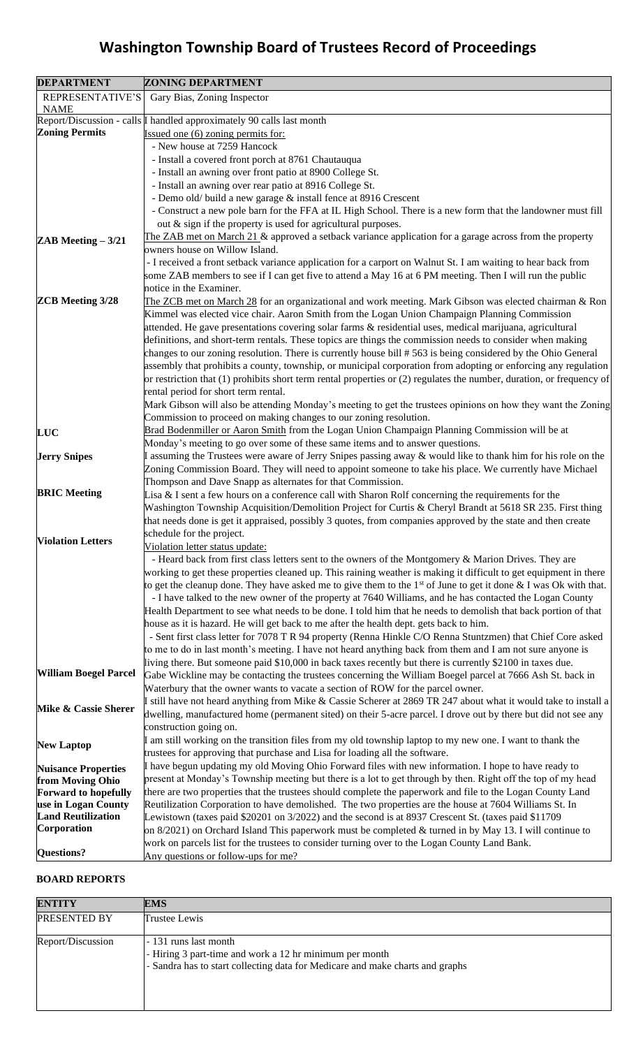| <b>DEPARTMENT</b>                              | <b>ZONING DEPARTMENT</b>                                                                                                                                                                                                        |
|------------------------------------------------|---------------------------------------------------------------------------------------------------------------------------------------------------------------------------------------------------------------------------------|
| REPRESENTATIVE'S                               | Gary Bias, Zoning Inspector                                                                                                                                                                                                     |
| <b>NAME</b>                                    |                                                                                                                                                                                                                                 |
|                                                | Report/Discussion - calls $\vert$ handled approximately 90 calls last month                                                                                                                                                     |
| <b>Zoning Permits</b>                          | Issued one (6) zoning permits for:                                                                                                                                                                                              |
|                                                | - New house at 7259 Hancock                                                                                                                                                                                                     |
|                                                | - Install a covered front porch at 8761 Chautauqua                                                                                                                                                                              |
|                                                | - Install an awning over front patio at 8900 College St.<br>- Install an awning over rear patio at 8916 College St.                                                                                                             |
|                                                | - Demo old/ build a new garage & install fence at 8916 Crescent                                                                                                                                                                 |
|                                                | - Construct a new pole barn for the FFA at IL High School. There is a new form that the landowner must fill                                                                                                                     |
|                                                | out $\&$ sign if the property is used for agricultural purposes.                                                                                                                                                                |
|                                                | The ZAB met on March $21$ & approved a setback variance application for a garage across from the property                                                                                                                       |
| <b>ZAB</b> Meeting $-3/21$                     | owners house on Willow Island.                                                                                                                                                                                                  |
|                                                | - I received a front setback variance application for a carport on Walnut St. I am waiting to hear back from                                                                                                                    |
|                                                | some ZAB members to see if I can get five to attend a May 16 at 6 PM meeting. Then I will run the public                                                                                                                        |
|                                                | notice in the Examiner.                                                                                                                                                                                                         |
| <b>ZCB</b> Meeting 3/28                        | The ZCB met on March 28 for an organizational and work meeting. Mark Gibson was elected chairman & Ron                                                                                                                          |
|                                                | Kimmel was elected vice chair. Aaron Smith from the Logan Union Champaign Planning Commission                                                                                                                                   |
|                                                | attended. He gave presentations covering solar farms & residential uses, medical marijuana, agricultural                                                                                                                        |
|                                                | definitions, and short-term rentals. These topics are things the commission needs to consider when making                                                                                                                       |
|                                                | changes to our zoning resolution. There is currently house bill #563 is being considered by the Ohio General                                                                                                                    |
|                                                | assembly that prohibits a county, township, or municipal corporation from adopting or enforcing any regulation                                                                                                                  |
|                                                | or restriction that (1) prohibits short term rental properties or (2) regulates the number, duration, or frequency of                                                                                                           |
|                                                | rental period for short term rental.                                                                                                                                                                                            |
|                                                | Mark Gibson will also be attending Monday's meeting to get the trustees opinions on how they want the Zoning                                                                                                                    |
|                                                | Commission to proceed on making changes to our zoning resolution.                                                                                                                                                               |
| LUC                                            | Brad Bodenmiller or Aaron Smith from the Logan Union Champaign Planning Commission will be at                                                                                                                                   |
|                                                | Monday's meeting to go over some of these same items and to answer questions.                                                                                                                                                   |
| <b>Jerry Snipes</b>                            | assuming the Trustees were aware of Jerry Snipes passing away & would like to thank him for his role on the                                                                                                                     |
|                                                | Zoning Commission Board. They will need to appoint someone to take his place. We currently have Michael<br>Thompson and Dave Snapp as alternates for that Commission.                                                           |
| <b>BRIC Meeting</b>                            | Lisa $\&$ I sent a few hours on a conference call with Sharon Rolf concerning the requirements for the                                                                                                                          |
|                                                | Washington Township Acquisition/Demolition Project for Curtis & Cheryl Brandt at 5618 SR 235. First thing                                                                                                                       |
|                                                | that needs done is get it appraised, possibly 3 quotes, from companies approved by the state and then create                                                                                                                    |
|                                                | schedule for the project.                                                                                                                                                                                                       |
| <b>Violation Letters</b>                       | Violation letter status update:                                                                                                                                                                                                 |
|                                                | - Heard back from first class letters sent to the owners of the Montgomery & Marion Drives. They are                                                                                                                            |
|                                                | working to get these properties cleaned up. This raining weather is making it difficult to get equipment in there                                                                                                               |
|                                                | to get the cleanup done. They have asked me to give them to the $1st$ of June to get it done & I was Ok with that.                                                                                                              |
|                                                | - I have talked to the new owner of the property at 7640 Williams, and he has contacted the Logan County                                                                                                                        |
|                                                | Health Department to see what needs to be done. I told him that he needs to demolish that back portion of that                                                                                                                  |
|                                                | house as it is hazard. He will get back to me after the health dept. gets back to him.                                                                                                                                          |
|                                                | - Sent first class letter for 7078 T R 94 property (Renna Hinkle C/O Renna Stuntzmen) that Chief Core asked                                                                                                                     |
|                                                | to me to do in last month's meeting. I have not heard anything back from them and I am not sure anyone is                                                                                                                       |
| <b>William Boegel Parcel</b>                   | living there. But someone paid \$10,000 in back taxes recently but there is currently \$2100 in taxes due.                                                                                                                      |
|                                                | Gabe Wickline may be contacting the trustees concerning the William Boegel parcel at 7666 Ash St. back in                                                                                                                       |
|                                                | Waterbury that the owner wants to vacate a section of ROW for the parcel owner.                                                                                                                                                 |
| Mike & Cassie Sherer                           | still have not heard anything from Mike & Cassie Scherer at 2869 TR 247 about what it would take to install a<br>dwelling, manufactured home (permanent sited) on their 5-acre parcel. I drove out by there but did not see any |
|                                                | construction going on.                                                                                                                                                                                                          |
|                                                | am still working on the transition files from my old township laptop to my new one. I want to thank the                                                                                                                         |
| <b>New Laptop</b>                              | trustees for approving that purchase and Lisa for loading all the software.                                                                                                                                                     |
|                                                | I have begun updating my old Moving Ohio Forward files with new information. I hope to have ready to                                                                                                                            |
| <b>Nuisance Properties</b><br>from Moving Ohio | present at Monday's Township meeting but there is a lot to get through by then. Right off the top of my head                                                                                                                    |
| <b>Forward to hopefully</b>                    | there are two properties that the trustees should complete the paperwork and file to the Logan County Land                                                                                                                      |
| use in Logan County                            | Reutilization Corporation to have demolished. The two properties are the house at 7604 Williams St. In                                                                                                                          |
| <b>Land Reutilization</b>                      | Lewistown (taxes paid \$20201 on 3/2022) and the second is at 8937 Crescent St. (taxes paid \$11709                                                                                                                             |
| Corporation                                    | on $8/2021$ ) on Orchard Island This paperwork must be completed $&$ turned in by May 13. I will continue to                                                                                                                    |
|                                                | work on parcels list for the trustees to consider turning over to the Logan County Land Bank.                                                                                                                                   |
| <b>Questions?</b>                              | Any questions or follow-ups for me?                                                                                                                                                                                             |

### **BOARD REPORTS**

| <b>ENTITY</b>     | <b>EMS</b>                                                                                                                                                        |
|-------------------|-------------------------------------------------------------------------------------------------------------------------------------------------------------------|
| PRESENTED BY      | Trustee Lewis                                                                                                                                                     |
| Report/Discussion | - 131 runs last month<br>- Hiring 3 part-time and work a 12 hr minimum per month<br>- Sandra has to start collecting data for Medicare and make charts and graphs |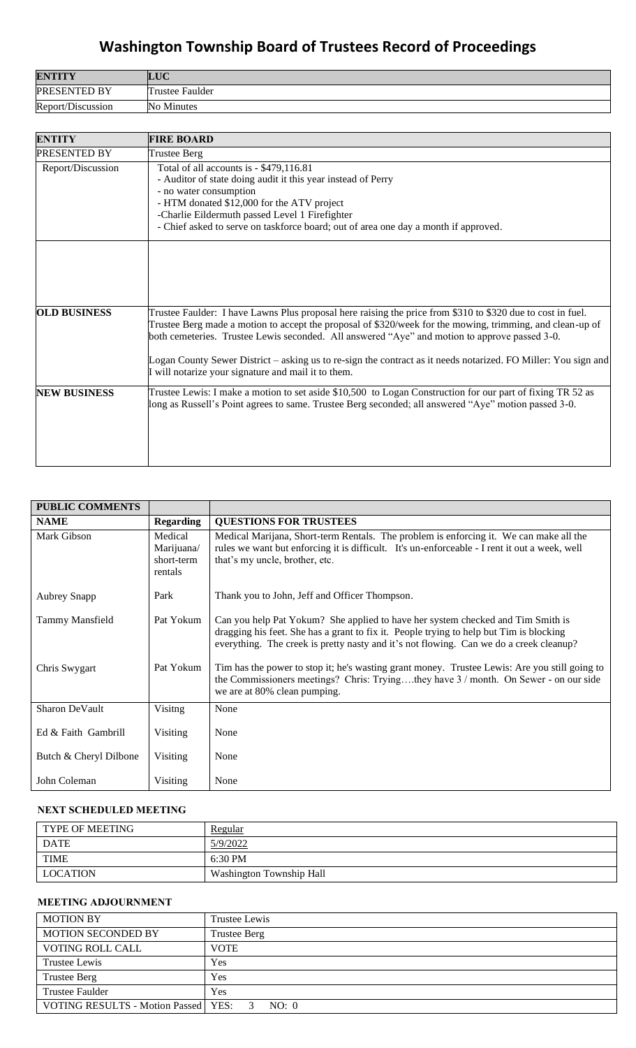| <b>ENTITY</b>       | <b>TIC</b><br>LUU |
|---------------------|-------------------|
| <b>PRESENTED BY</b> | Trustee Faulder   |
| Report/Discussion   | Minutes<br>No.    |

| <b>ENTITY</b>       | <b>FIRE BOARD</b>                                                                                                                                                                                                                                                                                                                                                                                                                                                                                  |
|---------------------|----------------------------------------------------------------------------------------------------------------------------------------------------------------------------------------------------------------------------------------------------------------------------------------------------------------------------------------------------------------------------------------------------------------------------------------------------------------------------------------------------|
| <b>PRESENTED BY</b> | <b>Trustee Berg</b>                                                                                                                                                                                                                                                                                                                                                                                                                                                                                |
| Report/Discussion   | Total of all accounts is - \$479,116.81<br>- Auditor of state doing audit it this year instead of Perry<br>- no water consumption<br>- HTM donated \$12,000 for the ATV project<br>-Charlie Eildermuth passed Level 1 Firefighter<br>- Chief asked to serve on taskforce board; out of area one day a month if approved.                                                                                                                                                                           |
|                     |                                                                                                                                                                                                                                                                                                                                                                                                                                                                                                    |
| <b>OLD BUSINESS</b> | Trustee Faulder: I have Lawns Plus proposal here raising the price from \$310 to \$320 due to cost in fuel.<br>Trustee Berg made a motion to accept the proposal of \$320/week for the mowing, trimming, and clean-up of<br>both cemeteries. Trustee Lewis seconded. All answered "Aye" and motion to approve passed 3-0.<br>Logan County Sewer District – asking us to re-sign the contract as it needs notarized. FO Miller: You sign and<br>I will notarize your signature and mail it to them. |
| <b>NEW BUSINESS</b> | Trustee Lewis: I make a motion to set aside \$10,500 to Logan Construction for our part of fixing TR 52 as<br>long as Russell's Point agrees to same. Trustee Berg seconded; all answered "Aye" motion passed 3-0.                                                                                                                                                                                                                                                                                 |

| <b>PUBLIC COMMENTS</b> |                                                |                                                                                                                                                                                                                                                                      |
|------------------------|------------------------------------------------|----------------------------------------------------------------------------------------------------------------------------------------------------------------------------------------------------------------------------------------------------------------------|
| <b>NAME</b>            | <b>Regarding</b>                               | <b>QUESTIONS FOR TRUSTEES</b>                                                                                                                                                                                                                                        |
| Mark Gibson            | Medical<br>Marijuana/<br>short-term<br>rentals | Medical Marijana, Short-term Rentals. The problem is enforcing it. We can make all the<br>rules we want but enforcing it is difficult. It's un-enforceable - I rent it out a week, well<br>that's my uncle, brother, etc.                                            |
| <b>Aubrey Snapp</b>    | Park                                           | Thank you to John, Jeff and Officer Thompson.                                                                                                                                                                                                                        |
| Tammy Mansfield        | Pat Yokum                                      | Can you help Pat Yokum? She applied to have her system checked and Tim Smith is<br>dragging his feet. She has a grant to fix it. People trying to help but Tim is blocking<br>everything. The creek is pretty nasty and it's not flowing. Can we do a creek cleanup? |
| Chris Swygart          | Pat Yokum                                      | Tim has the power to stop it; he's wasting grant money. Trustee Lewis: Are you still going to<br>the Commissioners meetings? Chris: Tryingthey have 3 / month. On Sewer - on our side<br>we are at 80% clean pumping.                                                |
| Sharon DeVault         | Visitng                                        | None                                                                                                                                                                                                                                                                 |
| Ed & Faith Gambrill    | <b>Visiting</b>                                | None                                                                                                                                                                                                                                                                 |
| Butch & Cheryl Dilbone | Visiting                                       | None                                                                                                                                                                                                                                                                 |
| John Coleman           | Visiting                                       | None                                                                                                                                                                                                                                                                 |

## **NEXT SCHEDULED MEETING**

| TYPE OF MEETING | Regular                  |
|-----------------|--------------------------|
| <b>DATE</b>     | 5/9/2022                 |
| <b>TIME</b>     | $6:30 \text{ PM}$        |
| <b>LOCATION</b> | Washington Township Hall |

### **MEETING ADJOURNMENT**

| <b>MOTION BY</b>                        | Trustee Lewis |
|-----------------------------------------|---------------|
| <b>MOTION SECONDED BY</b>               | Trustee Berg  |
| <b>VOTING ROLL CALL</b>                 | <b>VOTE</b>   |
| Trustee Lewis                           | Yes           |
| <b>Trustee Berg</b>                     | Yes           |
| <b>Trustee Faulder</b>                  | <b>Yes</b>    |
| VOTING RESULTS - Motion Passed   YES: 3 | NO: 0         |